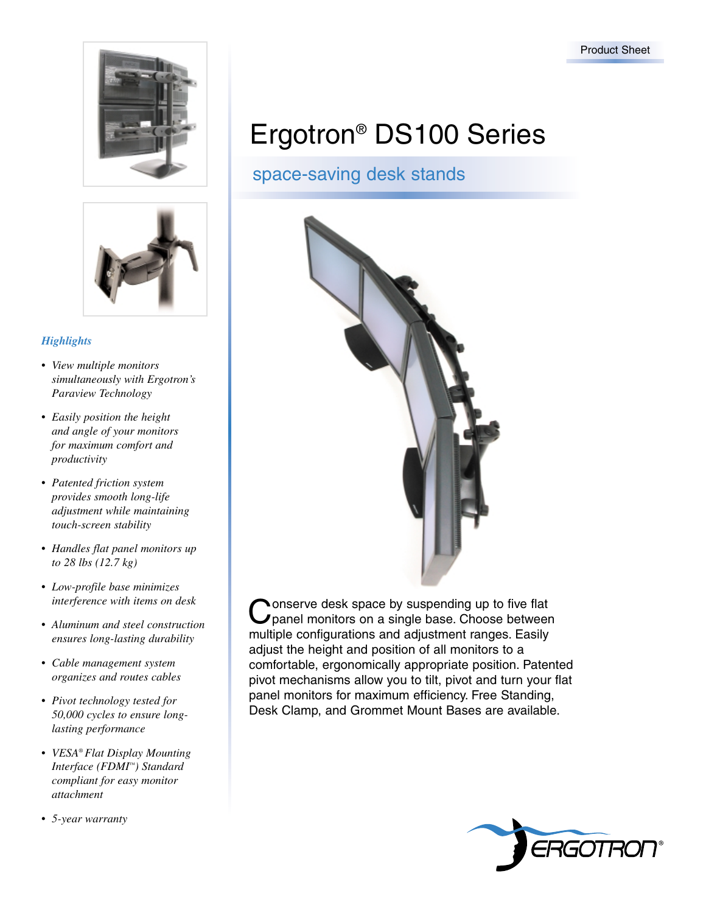



### *Highlights*

- *View multiple monitors simultaneously with Ergotron's Paraview Technology*
- *Easily position the height and angle of your monitors for maximum comfort and productivity*
- *Patented friction system provides smooth long-life adjustment while maintaining touch-screen stability*
- *Handles flat panel monitors up to 28 lbs (12.7 kg)*
- *Low-profile base minimizes interference with items on desk*
- *Aluminum and steel construction ensures long-lasting durability*
- *Cable management system organizes and routes cables*
- *Pivot technology tested for 50,000 cycles to ensure longlasting performance*
- *VESA® Flat Display Mounting Interface (FDMI™) Standard compliant for easy monitor attachment*
- *5-year warranty*

# Ergotron® DS100 Series

# space-saving desk stands



Conserve desk space by suspending up to five flat<br>
Upanel monitors on a single base. Choose between multiple configurations and adjustment ranges. Easily adjust the height and position of all monitors to a comfortable, ergonomically appropriate position. Patented pivot mechanisms allow you to tilt, pivot and turn your flat panel monitors for maximum efficiency. Free Standing, Desk Clamp, and Grommet Mount Bases are available.